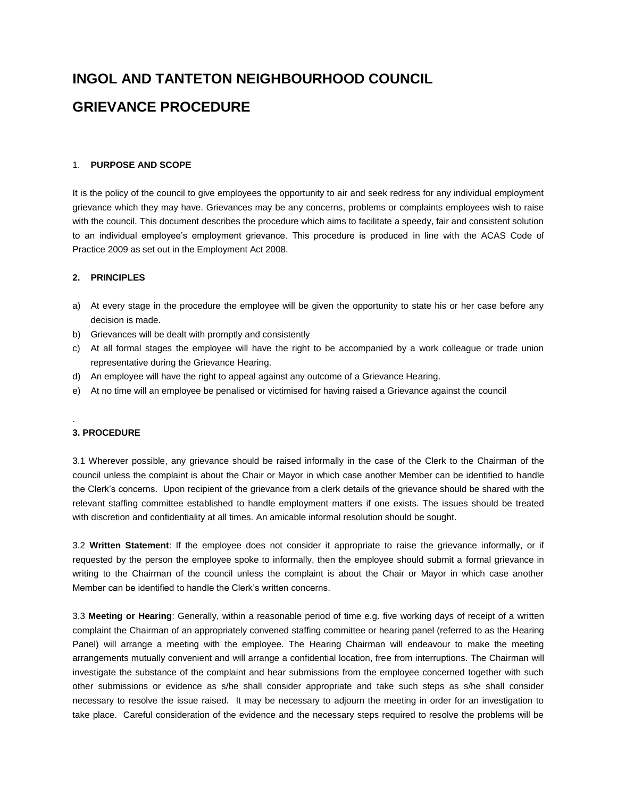# **INGOL AND TANTETON NEIGHBOURHOOD COUNCIL GRIEVANCE PROCEDURE**

## 1. **PURPOSE AND SCOPE**

It is the policy of the council to give employees the opportunity to air and seek redress for any individual employment grievance which they may have. Grievances may be any concerns, problems or complaints employees wish to raise with the council. This document describes the procedure which aims to facilitate a speedy, fair and consistent solution to an individual employee's employment grievance. This procedure is produced in line with the ACAS Code of Practice 2009 as set out in the Employment Act 2008.

## **2. PRINCIPLES**

- a) At every stage in the procedure the employee will be given the opportunity to state his or her case before any decision is made.
- b) Grievances will be dealt with promptly and consistently
- c) At all formal stages the employee will have the right to be accompanied by a work colleague or trade union representative during the Grievance Hearing.
- d) An employee will have the right to appeal against any outcome of a Grievance Hearing.
- e) At no time will an employee be penalised or victimised for having raised a Grievance against the council

### **3. PROCEDURE**

.

3.1 Wherever possible, any grievance should be raised informally in the case of the Clerk to the Chairman of the council unless the complaint is about the Chair or Mayor in which case another Member can be identified to handle the Clerk's concerns. Upon recipient of the grievance from a clerk details of the grievance should be shared with the relevant staffing committee established to handle employment matters if one exists. The issues should be treated with discretion and confidentiality at all times. An amicable informal resolution should be sought.

3.2 **Written Statement**: If the employee does not consider it appropriate to raise the grievance informally, or if requested by the person the employee spoke to informally, then the employee should submit a formal grievance in writing to the Chairman of the council unless the complaint is about the Chair or Mayor in which case another Member can be identified to handle the Clerk's written concerns.

3.3 **Meeting or Hearing**: Generally, within a reasonable period of time e.g. five working days of receipt of a written complaint the Chairman of an appropriately convened staffing committee or hearing panel (referred to as the Hearing Panel) will arrange a meeting with the employee. The Hearing Chairman will endeavour to make the meeting arrangements mutually convenient and will arrange a confidential location, free from interruptions. The Chairman will investigate the substance of the complaint and hear submissions from the employee concerned together with such other submissions or evidence as s/he shall consider appropriate and take such steps as s/he shall consider necessary to resolve the issue raised. It may be necessary to adjourn the meeting in order for an investigation to take place. Careful consideration of the evidence and the necessary steps required to resolve the problems will be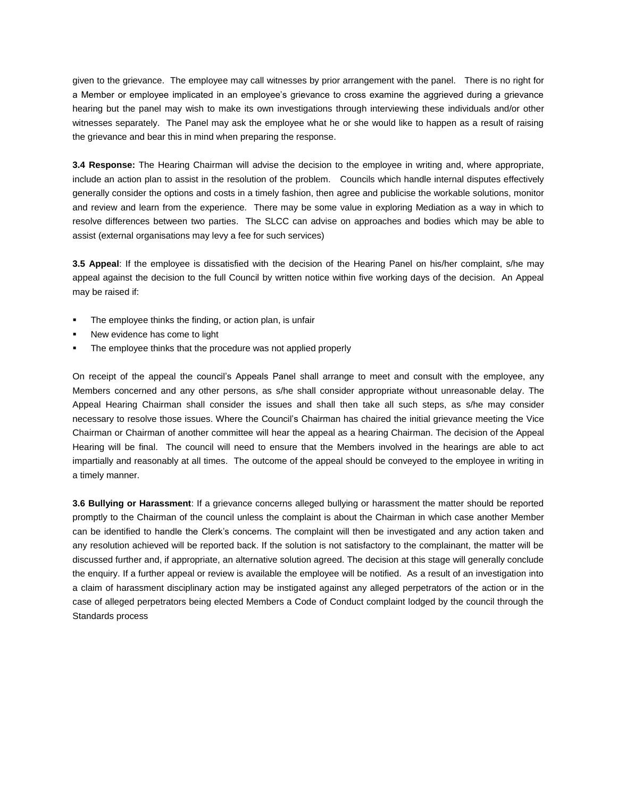given to the grievance. The employee may call witnesses by prior arrangement with the panel. There is no right for a Member or employee implicated in an employee's grievance to cross examine the aggrieved during a grievance hearing but the panel may wish to make its own investigations through interviewing these individuals and/or other witnesses separately. The Panel may ask the employee what he or she would like to happen as a result of raising the grievance and bear this in mind when preparing the response.

**3.4 Response:** The Hearing Chairman will advise the decision to the employee in writing and, where appropriate, include an action plan to assist in the resolution of the problem. Councils which handle internal disputes effectively generally consider the options and costs in a timely fashion, then agree and publicise the workable solutions, monitor and review and learn from the experience. There may be some value in exploring Mediation as a way in which to resolve differences between two parties. The SLCC can advise on approaches and bodies which may be able to assist (external organisations may levy a fee for such services)

**3.5 Appeal**: If the employee is dissatisfied with the decision of the Hearing Panel on his/her complaint, s/he may appeal against the decision to the full Council by written notice within five working days of the decision. An Appeal may be raised if:

- The employee thinks the finding, or action plan, is unfair
- New evidence has come to light
- The employee thinks that the procedure was not applied properly

On receipt of the appeal the council's Appeals Panel shall arrange to meet and consult with the employee, any Members concerned and any other persons, as s/he shall consider appropriate without unreasonable delay. The Appeal Hearing Chairman shall consider the issues and shall then take all such steps, as s/he may consider necessary to resolve those issues. Where the Council's Chairman has chaired the initial grievance meeting the Vice Chairman or Chairman of another committee will hear the appeal as a hearing Chairman. The decision of the Appeal Hearing will be final. The council will need to ensure that the Members involved in the hearings are able to act impartially and reasonably at all times. The outcome of the appeal should be conveyed to the employee in writing in a timely manner.

**3.6 Bullying or Harassment**: If a grievance concerns alleged bullying or harassment the matter should be reported promptly to the Chairman of the council unless the complaint is about the Chairman in which case another Member can be identified to handle the Clerk's concerns. The complaint will then be investigated and any action taken and any resolution achieved will be reported back. If the solution is not satisfactory to the complainant, the matter will be discussed further and, if appropriate, an alternative solution agreed. The decision at this stage will generally conclude the enquiry. If a further appeal or review is available the employee will be notified. As a result of an investigation into a claim of harassment disciplinary action may be instigated against any alleged perpetrators of the action or in the case of alleged perpetrators being elected Members a Code of Conduct complaint lodged by the council through the Standards process